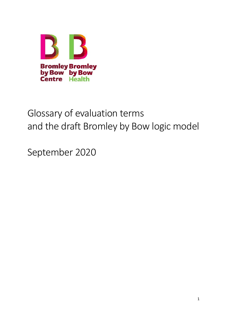

# Glossary of evaluation terms and the draft Bromley by Bow logic model

September 2020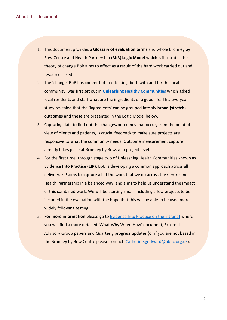- 1. This document provides a **Glossary of evaluation terms** and whole Bromley by Bow Centre and Health Partnership (BbB) **Logic Model** which is illustrates the theory of change BbB aims to effect as a result of the hard work carried out and resources used.
- 2. The 'change' BbB has committed to effecting, both with and for the local community, was first set out in **[Unleashing Healthy Communities](https://www.bbbc.org.uk/insights/our-research/)** which asked local residents and staff what are the ingredients of a good life. This two-year study revealed that the 'ingredients' can be grouped into **six broad (stretch) outcomes** and these are presented in the Logic Model below.
- 3. Capturing data to find out the changes/outcomes that occur, from the point of view of clients and patients, is crucial feedback to make sure projects are responsive to what the community needs. Outcome measurement capture already takes place at Bromley by Bow, at a project level.
- 4. For the first time, through stage two of Unleashing Health Communities known as **Evidence Into Practice (EIP)**, BbB is developing a common approach across all delivery. EIP aims to capture all of the work that we do across the Centre and Health Partnership in a balanced way, and aims to help us understand the impact of this combined work. We will be starting small, including a few projects to be included in the evaluation with the hope that this will be able to be used more widely following testing.
- 5. **For more information** please go to [Evidence Into Practice on the Intranet](https://bbbc365.sharepoint.com/sites/BromleybyBowCentreIntranet2/Shared%20Documents/Forms/AllItems.aspx?viewid=dede1527%2D04a5%2D4eb3%2D8ee2%2D3dba26c68461&id=%2Fsites%2FBromleybyBowCentreIntranet2%2FShared%20Documents%2F02%20Guides%20and%20manuals%2F08%20Community%20Insights%20%26%20Evaluation%2FEvidence%20Into%20Practice) where you will find a more detailed 'What Why When How' document, External Advisory Group papers and Quarterly progress updates (or if you are not based in the Bromley by Bow Centre please contact: [Catherine.godward@bbbc.org.uk\)](mailto:Catherine.godward@bbbc.org.uk).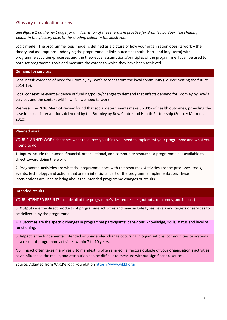### Glossary of evaluation terms

*See Figure 1 on the next page for an illustration of these terms in practice for Bromley by Bow. The shading colour in the glossary links to the shading colour in the illustration.* 

**Logic model:** The programme logic model is defined as a picture of how your organisation does its work – the theory and assumptions underlying the programme. It links outcomes (both short- and long-term) with programme activities/processes and the theoretical assumptions/principles of the programme. It can be used to both set programme goals and measure the extent to which they have been achieved.

#### **Demand for services**

**Local need**: evidence of need for Bromley by Bow's services from the local community (Source: Seizing the future 2014-19).

**Local context**: relevant evidence of funding/policy/changes to demand that effects demand for Bromley by Bow's services and the context within which we need to work.

**Premise**: The 2010 Marmot review found that social determinants make up 80% of health outcomes, providing the case for social interventions delivered by the Bromley by Bow Centre and Health Partnership (Source: Marmot, 2010).

#### **Planned work**

YOUR PLANNED WORK describes what resources you think you need to implement your programme and what you intend to do.

1. **Inputs** include the human, financial, organisational, and community resources a programme has available to direct toward doing the work.

2. Programme **Activities** are what the programme does with the resources. Activities are the processes, tools, events, technology, and actions that are an intentional part of the programme implementation. These interventions are used to bring about the intended programme changes or results.

#### **Intended results**

YOUR INTENDED RESULTS include all of the programme's desired results (outputs, outcomes, and impact).

3. **Outputs** are the direct products of programme activities and may include types, levels and targets of services to be delivered by the programme.

4. **Outcomes** are the specific changes in programme participants' behaviour, knowledge, skills, status and level of functioning.

5. **Impact** is the fundamental intended or unintended change occurring in organisations, communities or systems as a result of programme activities within 7 to 10 years.

NB. Impact often takes many years to manifest, is often shared i.e. factors outside of your organisation's activities have influenced the result, and attribution can be difficult to measure without significant resource.

Source: Adapted from W.K.Kellogg Foundation [https://www.wkkf.org/.](https://www.wkkf.org/)